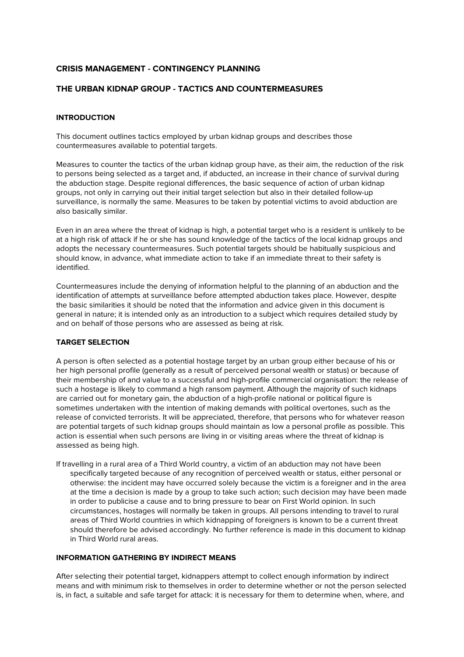# **CRISIS MANAGEMENT - CONTINGENCY PLANNING**

## **THE URBAN KIDNAP GROUP - TACTICS AND COUNTERMEASURES**

#### **INTRODUCTION**

This document outlines tactics employed by urban kidnap groups and describes those countermeasures available to potential targets.

Measures to counter the tactics of the urban kidnap group have, as their aim, the reduction of the risk to persons being selected as a target and, if abducted, an increase in their chance of survival during the abduction stage. Despite regional differences, the basic sequence of action of urban kidnap groups, not only in carrying out their initial target selection but also in their detailed follow-up surveillance, is normally the same. Measures to be taken by potential victims to avoid abduction are also basically similar.

Even in an area where the threat of kidnap is high, a potential target who is a resident is unlikely to be at a high risk of attack if he or she has sound knowledge of the tactics of the local kidnap groups and adopts the necessary countermeasures. Such potential targets should be habitually suspicious and should know, in advance, what immediate action to take if an immediate threat to their safety is identified.

Countermeasures include the denying of information helpful to the planning of an abduction and the identification of attempts at surveillance before attempted abduction takes place. However, despite the basic similarities it should be noted that the information and advice given in this document is general in nature; it is intended only as an introduction to a subject which requires detailed study by and on behalf of those persons who are assessed as being at risk.

### **TARGET SELECTION**

A person is often selected as a potential hostage target by an urban group either because of his or her high personal profile (generally as a result of perceived personal wealth or status) or because of their membership of and value to a successful and high-profile commercial organisation: the release of such a hostage is likely to command a high ransom payment. Although the majority of such kidnaps are carried out for monetary gain, the abduction of a high-profile national or political figure is sometimes undertaken with the intention of making demands with political overtones, such as the release of convicted terrorists. It will be appreciated, therefore, that persons who for whatever reason are potential targets of such kidnap groups should maintain as low a personal profile as possible. This action is essential when such persons are living in or visiting areas where the threat of kidnap is assessed as being high.

If travelling in a rural area of a Third World country, a victim of an abduction may not have been specifically targeted because of any recognition of perceived wealth or status, either personal or otherwise: the incident may have occurred solely because the victim is a foreigner and in the area at the time a decision is made by a group to take such action; such decision may have been made in order to publicise a cause and to bring pressure to bear on First World opinion. In such circumstances, hostages will normally be taken in groups. All persons intending to travel to rural areas of Third World countries in which kidnapping of foreigners is known to be a current threat should therefore be advised accordingly. No further reference is made in this document to kidnap in Third World rural areas.

### **INFORMATION GATHERING BY INDIRECT MEANS**

After selecting their potential target, kidnappers attempt to collect enough information by indirect means and with minimum risk to themselves in order to determine whether or not the person selected is, in fact, a suitable and safe target for attack: it is necessary for them to determine when, where, and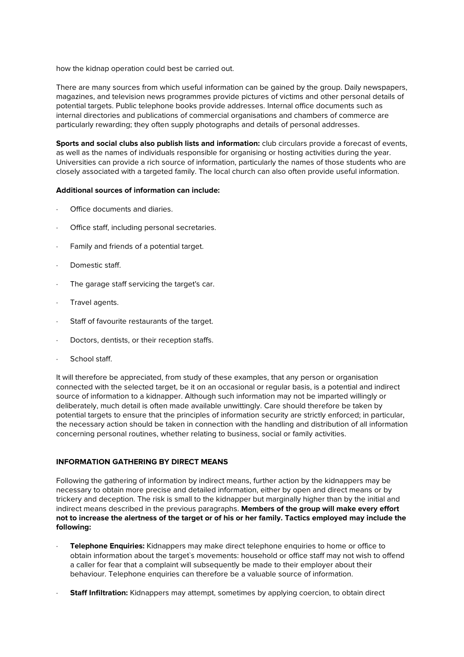how the kidnap operation could best be carried out.

There are many sources from which useful information can be gained by the group. Daily newspapers, magazines, and television news programmes provide pictures of victims and other personal details of potential targets. Public telephone books provide addresses. Internal office documents such as internal directories and publications of commercial organisations and chambers of commerce are particularly rewarding; they often supply photographs and details of personal addresses.

**Sports and social clubs also publish lists and information:** club circulars provide a forecast of events, as well as the names of individuals responsible for organising or hosting activities during the year. Universities can provide a rich source of information, particularly the names of those students who are closely associated with a targeted family. The local church can also often provide useful information.

### **Additional sources of information can include:**

- Office documents and diaries.
- Office staff, including personal secretaries.
- · Family and friends of a potential target.
- Domestic staff.
- · The garage staff servicing the target's car.
- · Travel agents.
- Staff of favourite restaurants of the target.
- Doctors, dentists, or their reception staffs.
- School staff.

It will therefore be appreciated, from study of these examples, that any person or organisation connected with the selected target, be it on an occasional or regular basis, is a potential and indirect source of information to a kidnapper. Although such information may not be imparted willingly or deliberately, much detail is often made available unwittingly. Care should therefore be taken by potential targets to ensure that the principles of information security are strictly enforced; in particular, the necessary action should be taken in connection with the handling and distribution of all information concerning personal routines, whether relating to business, social or family activities.

### **INFORMATION GATHERING BY DIRECT MEANS**

Following the gathering of information by indirect means, further action by the kidnappers may be necessary to obtain more precise and detailed information, either by open and direct means or by trickery and deception. The risk is small to the kidnapper but marginally higher than by the initial and indirect means described in the previous paragraphs. **Members of the group will make every effort not to increase the alertness of the target or of his or her family. Tactics employed may include the following:**

- · **Telephone Enquiries:** Kidnappers may make direct telephone enquiries to home or office to obtain information about the target`s movements: household or office staff may not wish to offend a caller for fear that a complaint will subsequently be made to their employer about their behaviour. Telephone enquiries can therefore be a valuable source of information.
- **Staff Infiltration:** Kidnappers may attempt, sometimes by applying coercion, to obtain direct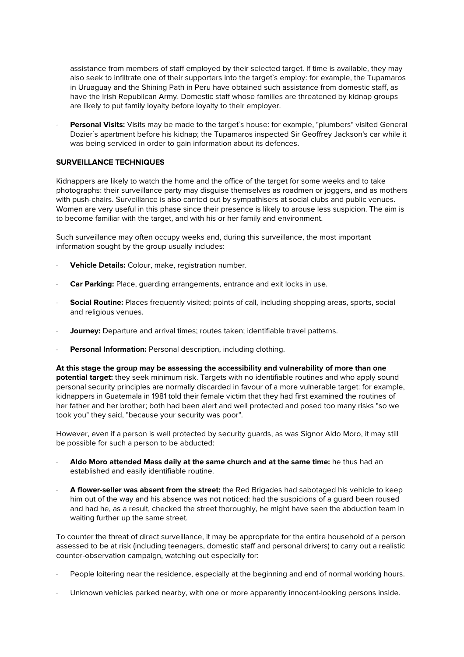assistance from members of staff employed by their selected target. If time is available, they may also seek to infiltrate one of their supporters into the target`s employ: for example, the Tupamaros in Uruaguay and the Shining Path in Peru have obtained such assistance from domestic staff, as have the Irish Republican Army. Domestic staff whose families are threatened by kidnap groups are likely to put family loyalty before loyalty to their employer.

**Personal Visits:** Visits may be made to the target's house: for example, "plumbers" visited General Dozier`s apartment before his kidnap; the Tupamaros inspected Sir Geoffrey Jackson's car while it was being serviced in order to gain information about its defences.

### **SURVEILLANCE TECHNIQUES**

Kidnappers are likely to watch the home and the office of the target for some weeks and to take photographs: their surveillance party may disguise themselves as roadmen or joggers, and as mothers with push-chairs. Surveillance is also carried out by sympathisers at social clubs and public venues. Women are very useful in this phase since their presence is likely to arouse less suspicion. The aim is to become familiar with the target, and with his or her family and environment.

Such surveillance may often occupy weeks and, during this surveillance, the most important information sought by the group usually includes:

- Vehicle Details: Colour, make, registration number.
- · **Car Parking:** Place, guarding arrangements, entrance and exit locks in use.
- **Social Routine:** Places frequently visited; points of call, including shopping areas, sports, social and religious venues.
- **Journey:** Departure and arrival times; routes taken; identifiable travel patterns.
- Personal Information: Personal description, including clothing.

**At this stage the group may be assessing the accessibility and vulnerability of more than one potential target:** they seek minimum risk. Targets with no identifiable routines and who apply sound personal security principles are normally discarded in favour of a more vulnerable target: for example, kidnappers in Guatemala in 1981 told their female victim that they had first examined the routines of her father and her brother; both had been alert and well protected and posed too many risks "so we took you" they said, "because your security was poor".

However, even if a person is well protected by security guards, as was Signor Aldo Moro, it may still be possible for such a person to be abducted:

- · **Aldo Moro attended Mass daily at the same church and at the same time:** he thus had an established and easily identifiable routine.
- · **A flower-seller was absent from the street:** the Red Brigades had sabotaged his vehicle to keep him out of the way and his absence was not noticed: had the suspicions of a guard been roused and had he, as a result, checked the street thoroughly, he might have seen the abduction team in waiting further up the same street.

To counter the threat of direct surveillance, it may be appropriate for the entire household of a person assessed to be at risk (including teenagers, domestic staff and personal drivers) to carry out a realistic counter-observation campaign, watching out especially for:

- · People loitering near the residence, especially at the beginning and end of normal working hours.
- Unknown vehicles parked nearby, with one or more apparently innocent-looking persons inside.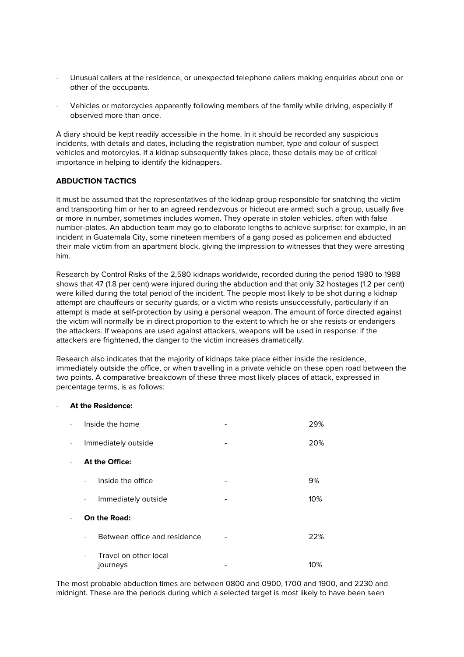- · Unusual callers at the residence, or unexpected telephone callers making enquiries about one or other of the occupants.
- · Vehicles or motorcycles apparently following members of the family while driving, especially if observed more than once.

A diary should be kept readily accessible in the home. In it should be recorded any suspicious incidents, with details and dates, including the registration number, type and colour of suspect vehicles and motorcyles. If a kidnap subsequently takes place, these details may be of critical importance in helping to identify the kidnappers.

### **ABDUCTION TACTICS**

It must be assumed that the representatives of the kidnap group responsible for snatching the victim and transporting him or her to an agreed rendezvous or hideout are armed; such a group, usually five or more in number, sometimes includes women. They operate in stolen vehicles, often with false number-plates. An abduction team may go to elaborate lengths to achieve surprise: for example, in an incident in Guatemala City, some nineteen members of a gang posed as policemen and abducted their male victim from an apartment block, giving the impression to witnesses that they were arresting him.

Research by Control Risks of the 2,580 kidnaps worldwide, recorded during the period 1980 to 1988 shows that 47 (1.8 per cent) were injured during the abduction and that only 32 hostages (1.2 per cent) were killed during the total period of the incident. The people most likely to be shot during a kidnap attempt are chauffeurs or security guards, or a victim who resists unsuccessfully, particularly if an attempt is made at self-protection by using a personal weapon. The amount of force directed against the victim will normally be in direct proportion to the extent to which he or she resists or endangers the attackers. If weapons are used against attackers, weapons will be used in response: if the attackers are frightened, the danger to the victim increases dramatically.

Research also indicates that the majority of kidnaps take place either inside the residence, immediately outside the office, or when travelling in a private vehicle on these open road between the two points. A comparative breakdown of these three most likely places of attack, expressed in percentage terms, is as follows:

#### · **At the Residence:**

| $\ddot{\phantom{0}}$ | Inside the home                                |  | 29% |
|----------------------|------------------------------------------------|--|-----|
| $\ddot{\phantom{0}}$ | Immediately outside                            |  | 20% |
| $\ddot{\phantom{0}}$ | At the Office:                                 |  |     |
|                      | Inside the office<br>$\bullet$                 |  | 9%  |
|                      | Immediately outside<br>$\bullet$               |  | 10% |
| $\bullet$            | On the Road:                                   |  |     |
|                      | Between office and residence<br>$\bullet$      |  | 22% |
|                      | Travel on other local<br>$\bullet$<br>journeys |  | 10% |

The most probable abduction times are between 0800 and 0900, 1700 and 1900, and 2230 and midnight. These are the periods during which a selected target is most likely to have been seen